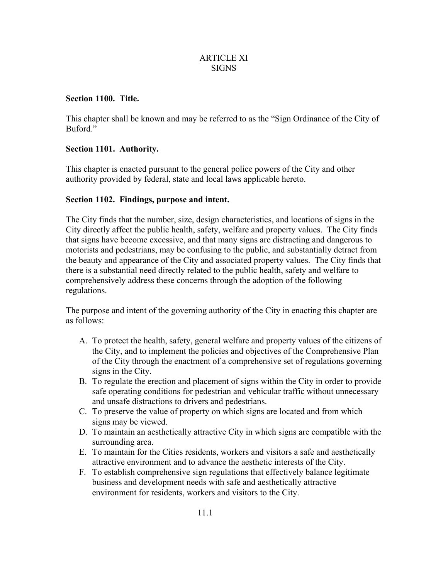## ARTICLE XI **SIGNS**

# **Section 1100. Title.**

This chapter shall be known and may be referred to as the "Sign Ordinance of the City of Buford."

# **Section 1101. Authority.**

This chapter is enacted pursuant to the general police powers of the City and other authority provided by federal, state and local laws applicable hereto.

# **Section 1102. Findings, purpose and intent.**

The City finds that the number, size, design characteristics, and locations of signs in the City directly affect the public health, safety, welfare and property values. The City finds that signs have become excessive, and that many signs are distracting and dangerous to motorists and pedestrians, may be confusing to the public, and substantially detract from the beauty and appearance of the City and associated property values. The City finds that there is a substantial need directly related to the public health, safety and welfare to comprehensively address these concerns through the adoption of the following regulations.

The purpose and intent of the governing authority of the City in enacting this chapter are as follows:

- A. To protect the health, safety, general welfare and property values of the citizens of the City, and to implement the policies and objectives of the Comprehensive Plan of the City through the enactment of a comprehensive set of regulations governing signs in the City.
- B. To regulate the erection and placement of signs within the City in order to provide safe operating conditions for pedestrian and vehicular traffic without unnecessary and unsafe distractions to drivers and pedestrians.
- C. To preserve the value of property on which signs are located and from which signs may be viewed.
- D. To maintain an aesthetically attractive City in which signs are compatible with the surrounding area.
- E. To maintain for the Cities residents, workers and visitors a safe and aesthetically attractive environment and to advance the aesthetic interests of the City.
- F. To establish comprehensive sign regulations that effectively balance legitimate business and development needs with safe and aesthetically attractive environment for residents, workers and visitors to the City.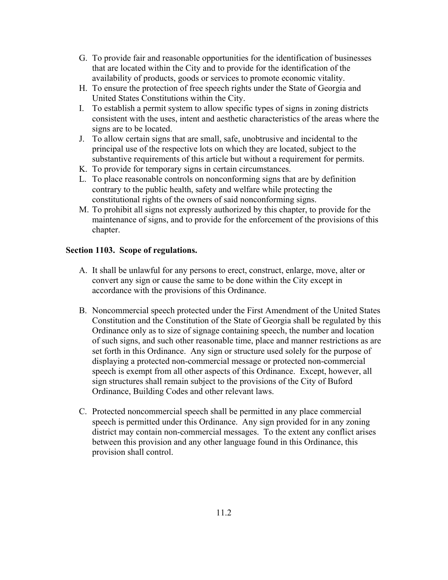- G. To provide fair and reasonable opportunities for the identification of businesses that are located within the City and to provide for the identification of the availability of products, goods or services to promote economic vitality.
- H. To ensure the protection of free speech rights under the State of Georgia and United States Constitutions within the City.
- I. To establish a permit system to allow specific types of signs in zoning districts consistent with the uses, intent and aesthetic characteristics of the areas where the signs are to be located.
- J. To allow certain signs that are small, safe, unobtrusive and incidental to the principal use of the respective lots on which they are located, subject to the substantive requirements of this article but without a requirement for permits.
- K. To provide for temporary signs in certain circumstances.
- L. To place reasonable controls on nonconforming signs that are by definition contrary to the public health, safety and welfare while protecting the constitutional rights of the owners of said nonconforming signs.
- M. To prohibit all signs not expressly authorized by this chapter, to provide for the maintenance of signs, and to provide for the enforcement of the provisions of this chapter.

# **Section 1103. Scope of regulations.**

- A. It shall be unlawful for any persons to erect, construct, enlarge, move, alter or convert any sign or cause the same to be done within the City except in accordance with the provisions of this Ordinance.
- B. Noncommercial speech protected under the First Amendment of the United States Constitution and the Constitution of the State of Georgia shall be regulated by this Ordinance only as to size of signage containing speech, the number and location of such signs, and such other reasonable time, place and manner restrictions as are set forth in this Ordinance. Any sign or structure used solely for the purpose of displaying a protected non-commercial message or protected non-commercial speech is exempt from all other aspects of this Ordinance. Except, however, all sign structures shall remain subject to the provisions of the City of Buford Ordinance, Building Codes and other relevant laws.
- C. Protected noncommercial speech shall be permitted in any place commercial speech is permitted under this Ordinance. Any sign provided for in any zoning district may contain non-commercial messages. To the extent any conflict arises between this provision and any other language found in this Ordinance, this provision shall control.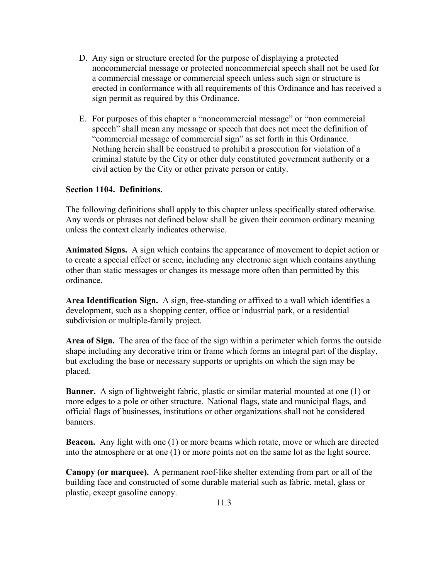- D. Any sign or structure erected for the purpose of displaying a protected noncommercial message or protected noncommercial speech shall not be used for a commercial message or commercial speech unless such sign or structure is erected in conformance with all requirements of this Ordinance and has received a sign permit as required by this Ordinance.
- E. For purposes of this chapter a "noncommercial message" or "non commercial speech" shall mean any message or speech that does not meet the definition of "commercial message of commercial sign" as set forth in this Ordinance. Nothing herein shall be construed to prohibit a prosecution for violation of a criminal statute by the City or other duly constituted government authority or a civil action by the City or other private person or entity.

# **Section 1104. Definitions.**

The following definitions shall apply to this chapter unless specifically stated otherwise. Any words or phrases not defined below shall be given their common ordinary meaning unless the context clearly indicates otherwise.

**Animated Signs.** A sign which contains the appearance of movement to depict action or to create a special effect or scene, including any electronic sign which contains anything other than static messages or changes its message more often than permitted by this ordinance.

**Area Identification Sign.** A sign, free-standing or affixed to a wall which identifies a development, such as a shopping center, office or industrial park, or a residential subdivision or multiple-family project.

**Area of Sign.** The area of the face of the sign within a perimeter which forms the outside shape including any decorative trim or frame which forms an integral part of the display, but excluding the base or necessary supports or uprights on which the sign may be placed.

**Banner.** A sign of lightweight fabric, plastic or similar material mounted at one (1) or more edges to a pole or other structure. National flags, state and municipal flags, and official flags of businesses, institutions or other organizations shall not be considered banners.

**Beacon.** Any light with one (1) or more beams which rotate, move or which are directed into the atmosphere or at one (1) or more points not on the same lot as the light source.

**Canopy (or marquee).** A permanent roof-like shelter extending from part or all of the building face and constructed of some durable material such as fabric, metal, glass or plastic, except gasoline canopy.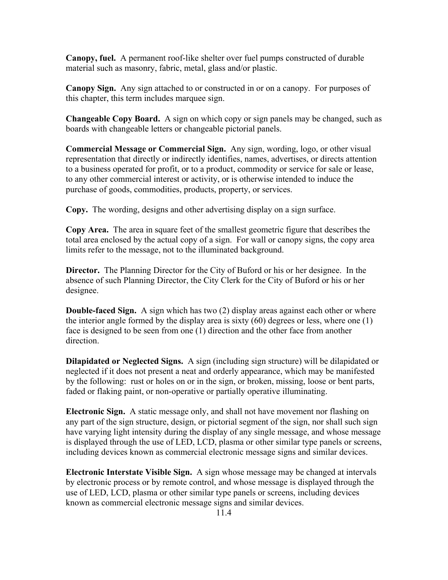**Canopy, fuel.** A permanent roof-like shelter over fuel pumps constructed of durable material such as masonry, fabric, metal, glass and/or plastic.

**Canopy Sign.** Any sign attached to or constructed in or on a canopy. For purposes of this chapter, this term includes marquee sign.

**Changeable Copy Board.** A sign on which copy or sign panels may be changed, such as boards with changeable letters or changeable pictorial panels.

**Commercial Message or Commercial Sign.** Any sign, wording, logo, or other visual representation that directly or indirectly identifies, names, advertises, or directs attention to a business operated for profit, or to a product, commodity or service for sale or lease, to any other commercial interest or activity, or is otherwise intended to induce the purchase of goods, commodities, products, property, or services.

**Copy.** The wording, designs and other advertising display on a sign surface.

**Copy Area.** The area in square feet of the smallest geometric figure that describes the total area enclosed by the actual copy of a sign. For wall or canopy signs, the copy area limits refer to the message, not to the illuminated background.

**Director.** The Planning Director for the City of Buford or his or her designee. In the absence of such Planning Director, the City Clerk for the City of Buford or his or her designee.

**Double-faced Sign.** A sign which has two (2) display areas against each other or where the interior angle formed by the display area is sixty  $(60)$  degrees or less, where one  $(1)$ face is designed to be seen from one (1) direction and the other face from another direction.

**Dilapidated or Neglected Signs.** A sign (including sign structure) will be dilapidated or neglected if it does not present a neat and orderly appearance, which may be manifested by the following: rust or holes on or in the sign, or broken, missing, loose or bent parts, faded or flaking paint, or non-operative or partially operative illuminating.

**Electronic Sign.** A static message only, and shall not have movement nor flashing on any part of the sign structure, design, or pictorial segment of the sign, nor shall such sign have varying light intensity during the display of any single message, and whose message is displayed through the use of LED, LCD, plasma or other similar type panels or screens, including devices known as commercial electronic message signs and similar devices.

**Electronic Interstate Visible Sign.** A sign whose message may be changed at intervals by electronic process or by remote control, and whose message is displayed through the use of LED, LCD, plasma or other similar type panels or screens, including devices known as commercial electronic message signs and similar devices.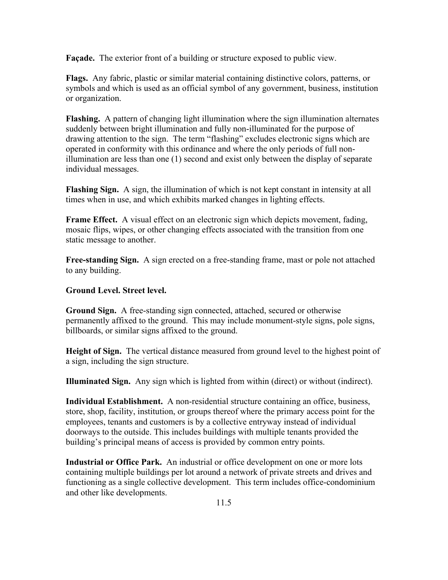**Façade.** The exterior front of a building or structure exposed to public view.

**Flags.** Any fabric, plastic or similar material containing distinctive colors, patterns, or symbols and which is used as an official symbol of any government, business, institution or organization.

**Flashing.** A pattern of changing light illumination where the sign illumination alternates suddenly between bright illumination and fully non-illuminated for the purpose of drawing attention to the sign. The term "flashing" excludes electronic signs which are operated in conformity with this ordinance and where the only periods of full nonillumination are less than one (1) second and exist only between the display of separate individual messages.

**Flashing Sign.** A sign, the illumination of which is not kept constant in intensity at all times when in use, and which exhibits marked changes in lighting effects.

**Frame Effect.** A visual effect on an electronic sign which depicts movement, fading, mosaic flips, wipes, or other changing effects associated with the transition from one static message to another.

**Free-standing Sign.** A sign erected on a free-standing frame, mast or pole not attached to any building.

## **Ground Level. Street level.**

**Ground Sign.** A free-standing sign connected, attached, secured or otherwise permanently affixed to the ground. This may include monument-style signs, pole signs, billboards, or similar signs affixed to the ground.

**Height of Sign.** The vertical distance measured from ground level to the highest point of a sign, including the sign structure.

**Illuminated Sign.** Any sign which is lighted from within (direct) or without (indirect).

**Individual Establishment.** A non-residential structure containing an office, business, store, shop, facility, institution, or groups thereof where the primary access point for the employees, tenants and customers is by a collective entryway instead of individual doorways to the outside. This includes buildings with multiple tenants provided the building's principal means of access is provided by common entry points.

**Industrial or Office Park.** An industrial or office development on one or more lots containing multiple buildings per lot around a network of private streets and drives and functioning as a single collective development. This term includes office-condominium and other like developments.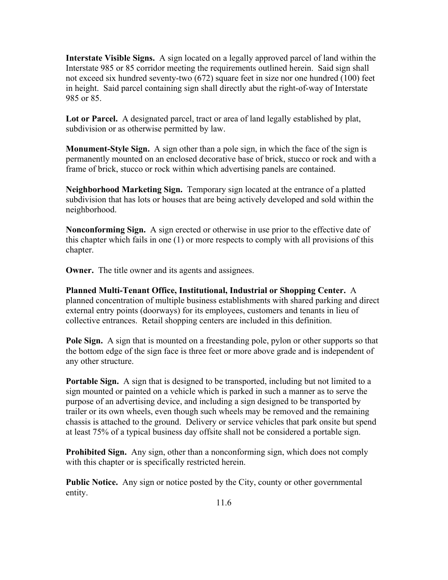**Interstate Visible Signs.** A sign located on a legally approved parcel of land within the Interstate 985 or 85 corridor meeting the requirements outlined herein. Said sign shall not exceed six hundred seventy-two (672) square feet in size nor one hundred (100) feet in height. Said parcel containing sign shall directly abut the right-of-way of Interstate 985 or 85.

**Lot or Parcel.** A designated parcel, tract or area of land legally established by plat, subdivision or as otherwise permitted by law.

**Monument-Style Sign.** A sign other than a pole sign, in which the face of the sign is permanently mounted on an enclosed decorative base of brick, stucco or rock and with a frame of brick, stucco or rock within which advertising panels are contained.

**Neighborhood Marketing Sign.** Temporary sign located at the entrance of a platted subdivision that has lots or houses that are being actively developed and sold within the neighborhood.

**Nonconforming Sign.** A sign erected or otherwise in use prior to the effective date of this chapter which fails in one (1) or more respects to comply with all provisions of this chapter.

**Owner.** The title owner and its agents and assignees.

**Planned Multi-Tenant Office, Institutional, Industrial or Shopping Center.** A planned concentration of multiple business establishments with shared parking and direct external entry points (doorways) for its employees, customers and tenants in lieu of collective entrances. Retail shopping centers are included in this definition.

**Pole Sign.** A sign that is mounted on a freestanding pole, pylon or other supports so that the bottom edge of the sign face is three feet or more above grade and is independent of any other structure.

**Portable Sign.** A sign that is designed to be transported, including but not limited to a sign mounted or painted on a vehicle which is parked in such a manner as to serve the purpose of an advertising device, and including a sign designed to be transported by trailer or its own wheels, even though such wheels may be removed and the remaining chassis is attached to the ground. Delivery or service vehicles that park onsite but spend at least 75% of a typical business day offsite shall not be considered a portable sign.

**Prohibited Sign.** Any sign, other than a nonconforming sign, which does not comply with this chapter or is specifically restricted herein.

**Public Notice.** Any sign or notice posted by the City, county or other governmental entity.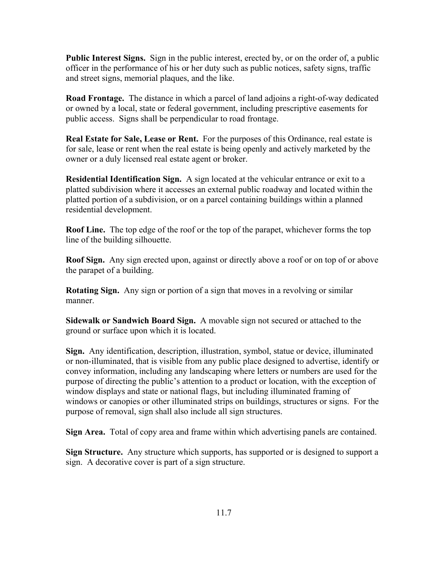**Public Interest Signs.** Sign in the public interest, erected by, or on the order of, a public officer in the performance of his or her duty such as public notices, safety signs, traffic and street signs, memorial plaques, and the like.

**Road Frontage.** The distance in which a parcel of land adjoins a right-of-way dedicated or owned by a local, state or federal government, including prescriptive easements for public access. Signs shall be perpendicular to road frontage.

**Real Estate for Sale, Lease or Rent.** For the purposes of this Ordinance, real estate is for sale, lease or rent when the real estate is being openly and actively marketed by the owner or a duly licensed real estate agent or broker.

**Residential Identification Sign.** A sign located at the vehicular entrance or exit to a platted subdivision where it accesses an external public roadway and located within the platted portion of a subdivision, or on a parcel containing buildings within a planned residential development.

**Roof Line.** The top edge of the roof or the top of the parapet, whichever forms the top line of the building silhouette.

**Roof Sign.** Any sign erected upon, against or directly above a roof or on top of or above the parapet of a building.

**Rotating Sign.** Any sign or portion of a sign that moves in a revolving or similar manner.

**Sidewalk or Sandwich Board Sign.** A movable sign not secured or attached to the ground or surface upon which it is located.

**Sign.** Any identification, description, illustration, symbol, statue or device, illuminated or non-illuminated, that is visible from any public place designed to advertise, identify or convey information, including any landscaping where letters or numbers are used for the purpose of directing the public's attention to a product or location, with the exception of window displays and state or national flags, but including illuminated framing of windows or canopies or other illuminated strips on buildings, structures or signs. For the purpose of removal, sign shall also include all sign structures.

**Sign Area.** Total of copy area and frame within which advertising panels are contained.

**Sign Structure.** Any structure which supports, has supported or is designed to support a sign. A decorative cover is part of a sign structure.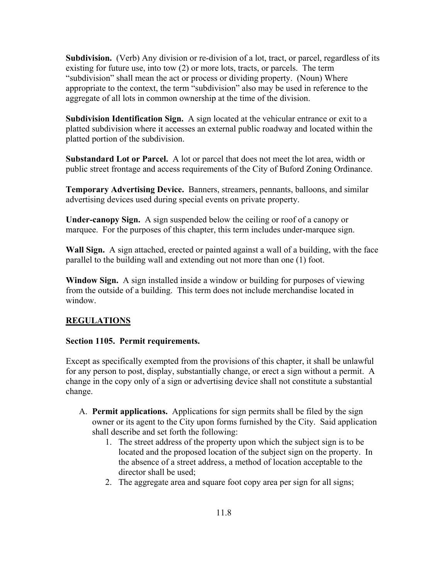**Subdivision.** (Verb) Any division or re-division of a lot, tract, or parcel, regardless of its existing for future use, into tow (2) or more lots, tracts, or parcels. The term "subdivision" shall mean the act or process or dividing property. (Noun) Where appropriate to the context, the term "subdivision" also may be used in reference to the aggregate of all lots in common ownership at the time of the division.

**Subdivision Identification Sign.** A sign located at the vehicular entrance or exit to a platted subdivision where it accesses an external public roadway and located within the platted portion of the subdivision.

**Substandard Lot or Parcel.** A lot or parcel that does not meet the lot area, width or public street frontage and access requirements of the City of Buford Zoning Ordinance.

**Temporary Advertising Device.** Banners, streamers, pennants, balloons, and similar advertising devices used during special events on private property.

**Under-canopy Sign.** A sign suspended below the ceiling or roof of a canopy or marquee. For the purposes of this chapter, this term includes under-marquee sign.

**Wall Sign.** A sign attached, erected or painted against a wall of a building, with the face parallel to the building wall and extending out not more than one (1) foot.

**Window Sign.** A sign installed inside a window or building for purposes of viewing from the outside of a building. This term does not include merchandise located in window.

# **REGULATIONS**

## **Section 1105. Permit requirements.**

Except as specifically exempted from the provisions of this chapter, it shall be unlawful for any person to post, display, substantially change, or erect a sign without a permit. A change in the copy only of a sign or advertising device shall not constitute a substantial change.

- A. **Permit applications.** Applications for sign permits shall be filed by the sign owner or its agent to the City upon forms furnished by the City. Said application shall describe and set forth the following:
	- 1. The street address of the property upon which the subject sign is to be located and the proposed location of the subject sign on the property. In the absence of a street address, a method of location acceptable to the director shall be used;
	- 2. The aggregate area and square foot copy area per sign for all signs;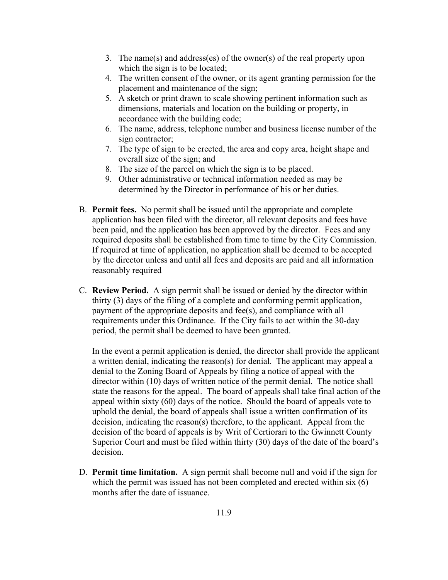- 3. The name(s) and address(es) of the owner(s) of the real property upon which the sign is to be located;
- 4. The written consent of the owner, or its agent granting permission for the placement and maintenance of the sign;
- 5. A sketch or print drawn to scale showing pertinent information such as dimensions, materials and location on the building or property, in accordance with the building code;
- 6. The name, address, telephone number and business license number of the sign contractor;
- 7. The type of sign to be erected, the area and copy area, height shape and overall size of the sign; and
- 8. The size of the parcel on which the sign is to be placed.
- 9. Other administrative or technical information needed as may be determined by the Director in performance of his or her duties.
- B. **Permit fees.** No permit shall be issued until the appropriate and complete application has been filed with the director, all relevant deposits and fees have been paid, and the application has been approved by the director. Fees and any required deposits shall be established from time to time by the City Commission. If required at time of application, no application shall be deemed to be accepted by the director unless and until all fees and deposits are paid and all information reasonably required
- C. **Review Period.** A sign permit shall be issued or denied by the director within thirty (3) days of the filing of a complete and conforming permit application, payment of the appropriate deposits and fee(s), and compliance with all requirements under this Ordinance. If the City fails to act within the 30-day period, the permit shall be deemed to have been granted.

In the event a permit application is denied, the director shall provide the applicant a written denial, indicating the reason(s) for denial. The applicant may appeal a denial to the Zoning Board of Appeals by filing a notice of appeal with the director within (10) days of written notice of the permit denial. The notice shall state the reasons for the appeal. The board of appeals shall take final action of the appeal within sixty (60) days of the notice. Should the board of appeals vote to uphold the denial, the board of appeals shall issue a written confirmation of its decision, indicating the reason(s) therefore, to the applicant. Appeal from the decision of the board of appeals is by Writ of Certiorari to the Gwinnett County Superior Court and must be filed within thirty (30) days of the date of the board's decision.

D. **Permit time limitation.** A sign permit shall become null and void if the sign for which the permit was issued has not been completed and erected within six (6) months after the date of issuance.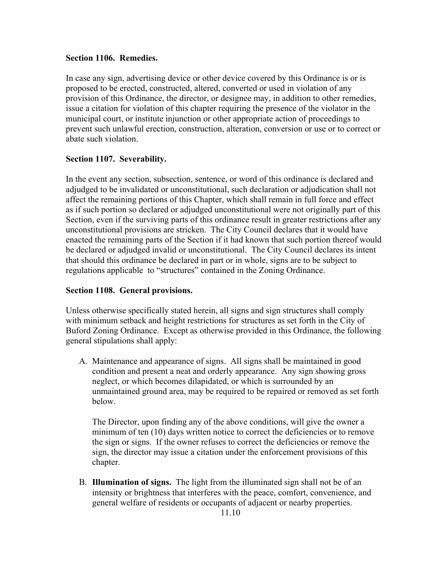#### **Section 1106. Remedies.**

In case any sign, advertising device or other device covered by this Ordinance is or is proposed to be erected, constructed, altered, converted or used in violation of any provision of this Ordinance, the director, or designee may, in addition to other remedies, issue a citation for violation of this chapter requiring the presence of the violator in the municipal court, or institute injunction or other appropriate action of proceedings to prevent such unlawful erection, construction, alteration, conversion or use or to correct or abate such violation.

# **Section 1107. Severability.**

In the event any section, subsection, sentence, or word of this ordinance is declared and adjudged to be invalidated or unconstitutional, such declaration or adjudication shall not affect the remaining portions of this Chapter, which shall remain in full force and effect as if such portion so declared or adjudged unconstitutional were not originally part of this Section, even if the surviving parts of this ordinance result in greater restrictions after any unconstitutional provisions are stricken. The City Council declares that it would have enacted the remaining parts of the Section if it had known that such portion thereof would be declared or adjudged invalid or unconstitutional. The City Council declares its intent that should this ordinance be declared in part or in whole, signs are to be subject to regulations applicable to "structures" contained in the Zoning Ordinance.

## **Section 1108. General provisions.**

Unless otherwise specifically stated herein, all signs and sign structures shall comply with minimum setback and height restrictions for structures as set forth in the City of Buford Zoning Ordinance. Except as otherwise provided in this Ordinance, the following general stipulations shall apply:

A. Maintenance and appearance of signs. All signs shall be maintained in good condition and present a neat and orderly appearance. Any sign showing gross neglect, or which becomes dilapidated, or which is surrounded by an unmaintained ground area, may be required to be repaired or removed as set forth below.

The Director, upon finding any of the above conditions, will give the owner a minimum of ten (10) days written notice to correct the deficiencies or to remove the sign or signs. If the owner refuses to correct the deficiencies or remove the sign, the director may issue a citation under the enforcement provisions of this chapter.

B. **Illumination of signs.** The light from the illuminated sign shall not be of an intensity or brightness that interferes with the peace, comfort, convenience, and general welfare of residents or occupants of adjacent or nearby properties.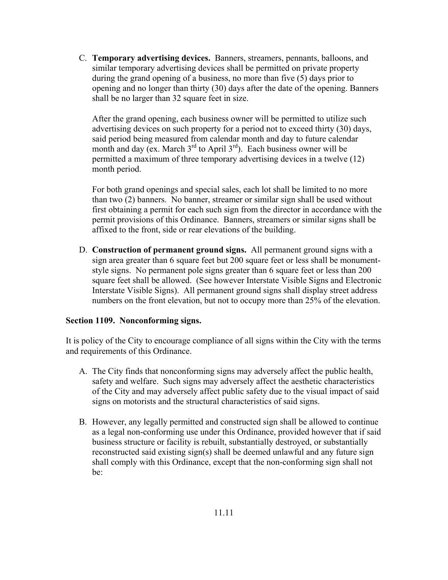C. **Temporary advertising devices.** Banners, streamers, pennants, balloons, and similar temporary advertising devices shall be permitted on private property during the grand opening of a business, no more than five (5) days prior to opening and no longer than thirty (30) days after the date of the opening. Banners shall be no larger than 32 square feet in size.

After the grand opening, each business owner will be permitted to utilize such advertising devices on such property for a period not to exceed thirty (30) days, said period being measured from calendar month and day to future calendar month and day (ex. March  $3<sup>rd</sup>$  to April  $3<sup>rd</sup>$ ). Each business owner will be permitted a maximum of three temporary advertising devices in a twelve (12) month period.

For both grand openings and special sales, each lot shall be limited to no more than two (2) banners. No banner, streamer or similar sign shall be used without first obtaining a permit for each such sign from the director in accordance with the permit provisions of this Ordinance. Banners, streamers or similar signs shall be affixed to the front, side or rear elevations of the building.

D. **Construction of permanent ground signs.** All permanent ground signs with a sign area greater than 6 square feet but 200 square feet or less shall be monumentstyle signs. No permanent pole signs greater than 6 square feet or less than 200 square feet shall be allowed. (See however Interstate Visible Signs and Electronic Interstate Visible Signs). All permanent ground signs shall display street address numbers on the front elevation, but not to occupy more than 25% of the elevation.

## **Section 1109. Nonconforming signs.**

It is policy of the City to encourage compliance of all signs within the City with the terms and requirements of this Ordinance.

- A. The City finds that nonconforming signs may adversely affect the public health, safety and welfare. Such signs may adversely affect the aesthetic characteristics of the City and may adversely affect public safety due to the visual impact of said signs on motorists and the structural characteristics of said signs.
- B. However, any legally permitted and constructed sign shall be allowed to continue as a legal non-conforming use under this Ordinance, provided however that if said business structure or facility is rebuilt, substantially destroyed, or substantially reconstructed said existing sign(s) shall be deemed unlawful and any future sign shall comply with this Ordinance, except that the non-conforming sign shall not be: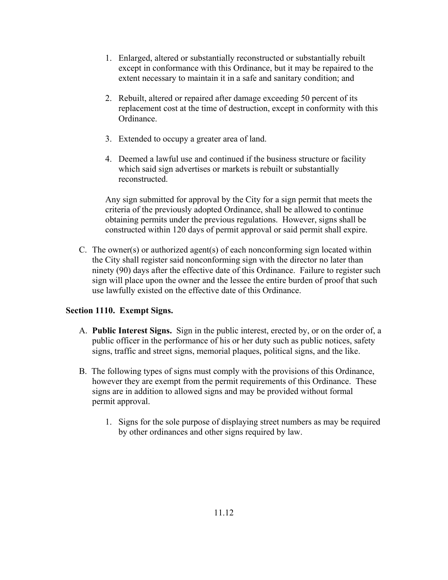- 1. Enlarged, altered or substantially reconstructed or substantially rebuilt except in conformance with this Ordinance, but it may be repaired to the extent necessary to maintain it in a safe and sanitary condition; and
- 2. Rebuilt, altered or repaired after damage exceeding 50 percent of its replacement cost at the time of destruction, except in conformity with this Ordinance.
- 3. Extended to occupy a greater area of land.
- 4. Deemed a lawful use and continued if the business structure or facility which said sign advertises or markets is rebuilt or substantially reconstructed.

Any sign submitted for approval by the City for a sign permit that meets the criteria of the previously adopted Ordinance, shall be allowed to continue obtaining permits under the previous regulations. However, signs shall be constructed within 120 days of permit approval or said permit shall expire.

C. The owner(s) or authorized agent(s) of each nonconforming sign located within the City shall register said nonconforming sign with the director no later than ninety (90) days after the effective date of this Ordinance. Failure to register such sign will place upon the owner and the lessee the entire burden of proof that such use lawfully existed on the effective date of this Ordinance.

# **Section 1110. Exempt Signs.**

- A. **Public Interest Signs.** Sign in the public interest, erected by, or on the order of, a public officer in the performance of his or her duty such as public notices, safety signs, traffic and street signs, memorial plaques, political signs, and the like.
- B. The following types of signs must comply with the provisions of this Ordinance, however they are exempt from the permit requirements of this Ordinance. These signs are in addition to allowed signs and may be provided without formal permit approval.
	- 1. Signs for the sole purpose of displaying street numbers as may be required by other ordinances and other signs required by law.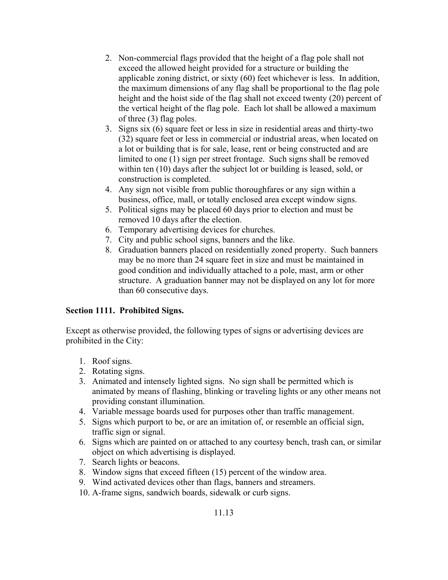- 2. Non-commercial flags provided that the height of a flag pole shall not exceed the allowed height provided for a structure or building the applicable zoning district, or sixty (60) feet whichever is less. In addition, the maximum dimensions of any flag shall be proportional to the flag pole height and the hoist side of the flag shall not exceed twenty (20) percent of the vertical height of the flag pole. Each lot shall be allowed a maximum of three (3) flag poles.
- 3. Signs six (6) square feet or less in size in residential areas and thirty-two (32) square feet or less in commercial or industrial areas, when located on a lot or building that is for sale, lease, rent or being constructed and are limited to one (1) sign per street frontage. Such signs shall be removed within ten (10) days after the subject lot or building is leased, sold, or construction is completed.
- 4. Any sign not visible from public thoroughfares or any sign within a business, office, mall, or totally enclosed area except window signs.
- 5. Political signs may be placed 60 days prior to election and must be removed 10 days after the election.
- 6. Temporary advertising devices for churches.
- 7. City and public school signs, banners and the like.
- 8. Graduation banners placed on residentially zoned property. Such banners may be no more than 24 square feet in size and must be maintained in good condition and individually attached to a pole, mast, arm or other structure. A graduation banner may not be displayed on any lot for more than 60 consecutive days.

# **Section 1111. Prohibited Signs.**

Except as otherwise provided, the following types of signs or advertising devices are prohibited in the City:

- 1. Roof signs.
- 2. Rotating signs.
- 3. Animated and intensely lighted signs. No sign shall be permitted which is animated by means of flashing, blinking or traveling lights or any other means not providing constant illumination.
- 4. Variable message boards used for purposes other than traffic management.
- 5. Signs which purport to be, or are an imitation of, or resemble an official sign, traffic sign or signal.
- 6. Signs which are painted on or attached to any courtesy bench, trash can, or similar object on which advertising is displayed.
- 7. Search lights or beacons.
- 8. Window signs that exceed fifteen (15) percent of the window area.
- 9. Wind activated devices other than flags, banners and streamers.
- 10. A-frame signs, sandwich boards, sidewalk or curb signs.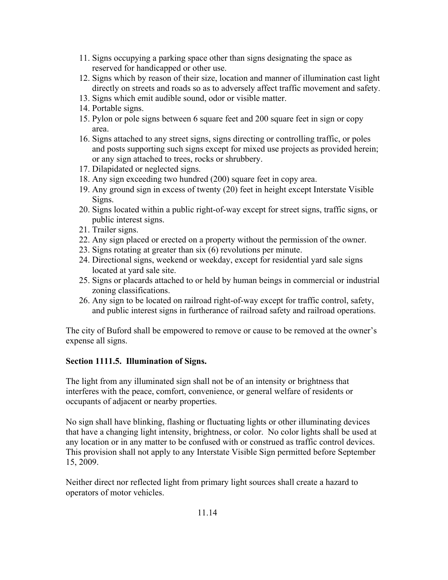- 11. Signs occupying a parking space other than signs designating the space as reserved for handicapped or other use.
- 12. Signs which by reason of their size, location and manner of illumination cast light directly on streets and roads so as to adversely affect traffic movement and safety.
- 13. Signs which emit audible sound, odor or visible matter.
- 14. Portable signs.
- 15. Pylon or pole signs between 6 square feet and 200 square feet in sign or copy area.
- 16. Signs attached to any street signs, signs directing or controlling traffic, or poles and posts supporting such signs except for mixed use projects as provided herein; or any sign attached to trees, rocks or shrubbery.
- 17. Dilapidated or neglected signs.
- 18. Any sign exceeding two hundred (200) square feet in copy area.
- 19. Any ground sign in excess of twenty (20) feet in height except Interstate Visible Signs.
- 20. Signs located within a public right-of-way except for street signs, traffic signs, or public interest signs.
- 21. Trailer signs.
- 22. Any sign placed or erected on a property without the permission of the owner.
- 23. Signs rotating at greater than six (6) revolutions per minute.
- 24. Directional signs, weekend or weekday, except for residential yard sale signs located at yard sale site.
- 25. Signs or placards attached to or held by human beings in commercial or industrial zoning classifications.
- 26. Any sign to be located on railroad right-of-way except for traffic control, safety, and public interest signs in furtherance of railroad safety and railroad operations.

The city of Buford shall be empowered to remove or cause to be removed at the owner's expense all signs.

# **Section 1111.5. Illumination of Signs.**

The light from any illuminated sign shall not be of an intensity or brightness that interferes with the peace, comfort, convenience, or general welfare of residents or occupants of adjacent or nearby properties.

No sign shall have blinking, flashing or fluctuating lights or other illuminating devices that have a changing light intensity, brightness, or color. No color lights shall be used at any location or in any matter to be confused with or construed as traffic control devices. This provision shall not apply to any Interstate Visible Sign permitted before September 15, 2009.

Neither direct nor reflected light from primary light sources shall create a hazard to operators of motor vehicles.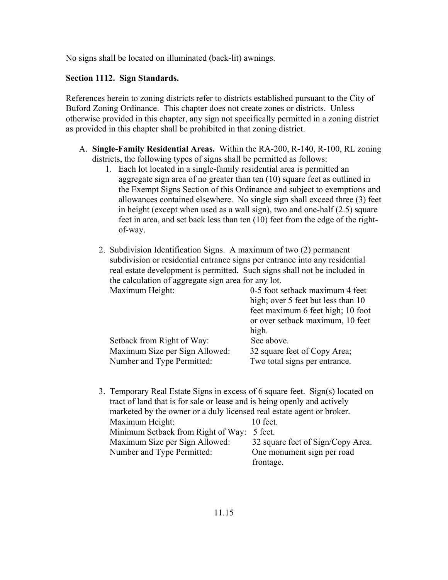No signs shall be located on illuminated (back-lit) awnings.

#### **Section 1112. Sign Standards.**

References herein to zoning districts refer to districts established pursuant to the City of Buford Zoning Ordinance. This chapter does not create zones or districts. Unless otherwise provided in this chapter, any sign not specifically permitted in a zoning district as provided in this chapter shall be prohibited in that zoning district.

- A. **Single-Family Residential Areas.** Within the RA-200, R-140, R-100, RL zoning districts, the following types of signs shall be permitted as follows:
	- 1. Each lot located in a single-family residential area is permitted an aggregate sign area of no greater than ten (10) square feet as outlined in the Exempt Signs Section of this Ordinance and subject to exemptions and allowances contained elsewhere. No single sign shall exceed three (3) feet in height (except when used as a wall sign), two and one-half (2.5) square feet in area, and set back less than ten (10) feet from the edge of the rightof-way.
	- 2. Subdivision Identification Signs. A maximum of two (2) permanent subdivision or residential entrance signs per entrance into any residential real estate development is permitted. Such signs shall not be included in the calculation of aggregate sign area for any lot. Maximum Height: 0-5 foot setback maximum 4 feet

|                                | high; over 5 feet but less than 10<br>feet maximum 6 feet high; 10 foot |
|--------------------------------|-------------------------------------------------------------------------|
|                                | or over setback maximum, 10 feet                                        |
|                                | high.                                                                   |
| Setback from Right of Way:     | See above.                                                              |
| Maximum Size per Sign Allowed: | 32 square feet of Copy Area;                                            |
| Number and Type Permitted:     | Two total signs per entrance.                                           |

 3. Temporary Real Estate Signs in excess of 6 square feet. Sign(s) located on tract of land that is for sale or lease and is being openly and actively marketed by the owner or a duly licensed real estate agent or broker. Maximum Height: 10 feet. Minimum Setback from Right of Way: 5 feet. Maximum Size per Sign Allowed: 32 square feet of Sign/Copy Area. Number and Type Permitted: One monument sign per road frontage.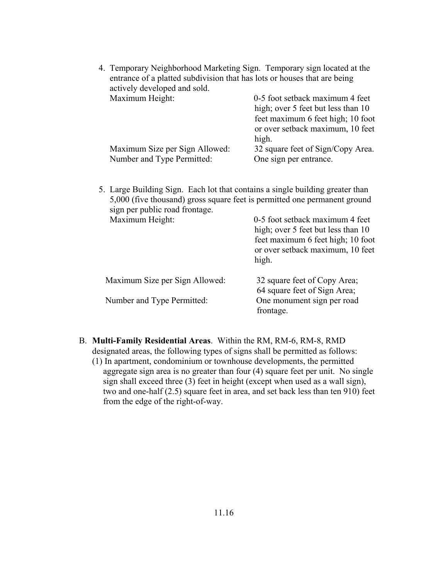| 4. Temporary Neighborhood Marketing Sign. Temporary sign located at the<br>entrance of a platted subdivision that has lots or houses that are being<br>actively developed and sold. |                                                                                                                                                         |  |
|-------------------------------------------------------------------------------------------------------------------------------------------------------------------------------------|---------------------------------------------------------------------------------------------------------------------------------------------------------|--|
| Maximum Height:                                                                                                                                                                     | 0-5 foot setback maximum 4 feet<br>high; over 5 feet but less than 10<br>feet maximum 6 feet high; 10 foot<br>or over setback maximum, 10 feet<br>high. |  |
| Maximum Size per Sign Allowed:                                                                                                                                                      | 32 square feet of Sign/Copy Area.                                                                                                                       |  |
| Number and Type Permitted:                                                                                                                                                          | One sign per entrance.                                                                                                                                  |  |
| 5,000 (five thousand) gross square feet is permitted one permanent ground<br>sign per public road frontage.                                                                         | 0-5 foot setback maximum 4 feet                                                                                                                         |  |
| Maximum Height:                                                                                                                                                                     | high; over 5 feet but less than 10<br>feet maximum 6 feet high; 10 foot<br>or over setback maximum, 10 feet<br>high.                                    |  |
| Maximum Size per Sign Allowed:                                                                                                                                                      | 32 square feet of Copy Area;<br>64 square feet of Sign Area;                                                                                            |  |
| Number and Type Permitted:                                                                                                                                                          | One monument sign per road<br>frontage.                                                                                                                 |  |

- B. **Multi-Family Residential Areas**. Within the RM, RM-6, RM-8, RMD designated areas, the following types of signs shall be permitted as follows:
	- (1) In apartment, condominium or townhouse developments, the permitted aggregate sign area is no greater than four (4) square feet per unit. No single sign shall exceed three (3) feet in height (except when used as a wall sign), two and one-half (2.5) square feet in area, and set back less than ten 910) feet from the edge of the right-of-way.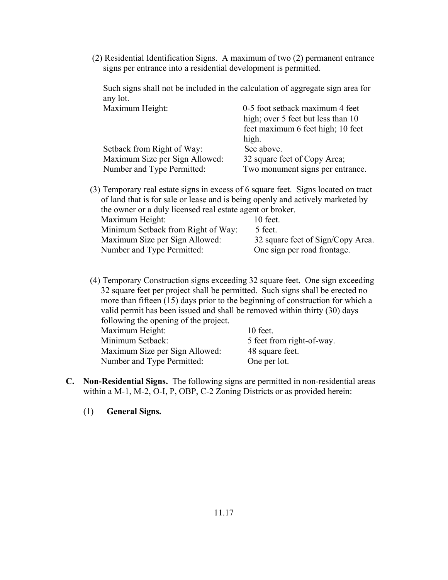(2) Residential Identification Signs. A maximum of two (2) permanent entrance signs per entrance into a residential development is permitted.

 Such signs shall not be included in the calculation of aggregate sign area for any lot.

| 0-5 foot setback maximum 4 feet    |
|------------------------------------|
| high; over 5 feet but less than 10 |
| feet maximum 6 feet high; 10 feet  |
| high.                              |
| See above.                         |
| 32 square feet of Copy Area;       |
| Two monument signs per entrance.   |
|                                    |

| (3) Temporary real estate signs in excess of 6 square feet. Signs located on tract<br>of land that is for sale or lease and is being openly and actively marketed by |  |  |
|----------------------------------------------------------------------------------------------------------------------------------------------------------------------|--|--|
| the owner or a duly licensed real estate agent or broker.                                                                                                            |  |  |
| $10$ feet.                                                                                                                                                           |  |  |
| 5 feet.                                                                                                                                                              |  |  |
| 32 square feet of Sign/Copy Area.                                                                                                                                    |  |  |
| One sign per road frontage.                                                                                                                                          |  |  |
|                                                                                                                                                                      |  |  |

 (4) Temporary Construction signs exceeding 32 square feet. One sign exceeding 32 square feet per project shall be permitted. Such signs shall be erected no more than fifteen (15) days prior to the beginning of construction for which a valid permit has been issued and shall be removed within thirty (30) days following the opening of the project.

| rono wing the opening of the project. |                           |
|---------------------------------------|---------------------------|
| Maximum Height:                       | $10$ feet.                |
| Minimum Setback:                      | 5 feet from right-of-way. |
| Maximum Size per Sign Allowed:        | 48 square feet.           |
| Number and Type Permitted:            | One per lot.              |

- **C. Non-Residential Signs.** The following signs are permitted in non-residential areas within a M-1, M-2, O-I, P, OBP, C-2 Zoning Districts or as provided herein:
	- (1) **General Signs.**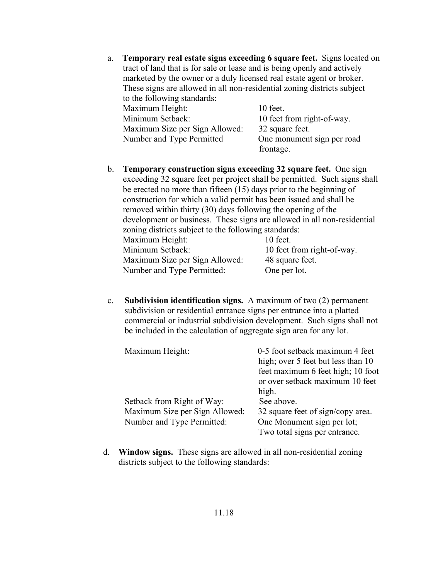- a. **Temporary real estate signs exceeding 6 square feet.** Signs located on tract of land that is for sale or lease and is being openly and actively marketed by the owner or a duly licensed real estate agent or broker. These signs are allowed in all non-residential zoning districts subject to the following standards: Maximum Height: 10 feet. Minimum Setback: 10 feet from right-of-way. Maximum Size per Sign Allowed: 32 square feet. Number and Type Permitted One monument sign per road frontage. b. **Temporary construction signs exceeding 32 square feet.** One sign exceeding 32 square feet per project shall be permitted. Such signs shall be erected no more than fifteen (15) days prior to the beginning of
- construction for which a valid permit has been issued and shall be removed within thirty (30) days following the opening of the development or business. These signs are allowed in all non-residential zoning districts subject to the following standards: Maximum Height: 10 feet. Minimum Setback: 10 feet from right-of-way. Maximum Size per Sign Allowed: 48 square feet. Number and Type Permitted: One per lot.
- c. **Subdivision identification signs.** A maximum of two (2) permanent subdivision or residential entrance signs per entrance into a platted commercial or industrial subdivision development. Such signs shall not be included in the calculation of aggregate sign area for any lot.

| Maximum Height:                | 0-5 foot setback maximum 4 feet    |
|--------------------------------|------------------------------------|
|                                | high; over 5 feet but less than 10 |
|                                | feet maximum 6 feet high; 10 foot  |
|                                | or over setback maximum 10 feet    |
|                                | high.                              |
| Setback from Right of Way:     | See above.                         |
| Maximum Size per Sign Allowed: | 32 square feet of sign/copy area.  |
| Number and Type Permitted:     | One Monument sign per lot;         |
|                                | Two total signs per entrance.      |

 d. **Window signs.** These signs are allowed in all non-residential zoning districts subject to the following standards: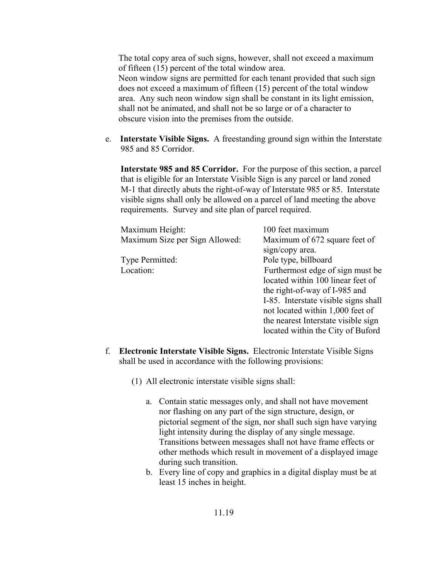The total copy area of such signs, however, shall not exceed a maximum of fifteen (15) percent of the total window area. Neon window signs are permitted for each tenant provided that such sign does not exceed a maximum of fifteen (15) percent of the total window area. Any such neon window sign shall be constant in its light emission, shall not be animated, and shall not be so large or of a character to obscure vision into the premises from the outside.

 e. **Interstate Visible Signs.** A freestanding ground sign within the Interstate 985 and 85 Corridor.

 **Interstate 985 and 85 Corridor.** For the purpose of this section, a parcel that is eligible for an Interstate Visible Sign is any parcel or land zoned M-1 that directly abuts the right-of-way of Interstate 985 or 85. Interstate visible signs shall only be allowed on a parcel of land meeting the above requirements. Survey and site plan of parcel required.

| 100 feet maximum                                 |
|--------------------------------------------------|
| Maximum of 672 square feet of<br>sign/copy area. |
|                                                  |
| Pole type, billboard                             |
| Furthermost edge of sign must be                 |
| located within 100 linear feet of                |
| the right-of-way of I-985 and                    |
| I-85. Interstate visible signs shall             |
| not located within 1,000 feet of                 |
| the nearest Interstate visible sign              |
| located within the City of Buford                |
|                                                  |

- f. **Electronic Interstate Visible Signs.** Electronic Interstate Visible Signs shall be used in accordance with the following provisions:
	- (1) All electronic interstate visible signs shall:
		- a. Contain static messages only, and shall not have movement nor flashing on any part of the sign structure, design, or pictorial segment of the sign, nor shall such sign have varying light intensity during the display of any single message. Transitions between messages shall not have frame effects or other methods which result in movement of a displayed image during such transition.
		- b. Every line of copy and graphics in a digital display must be at least 15 inches in height.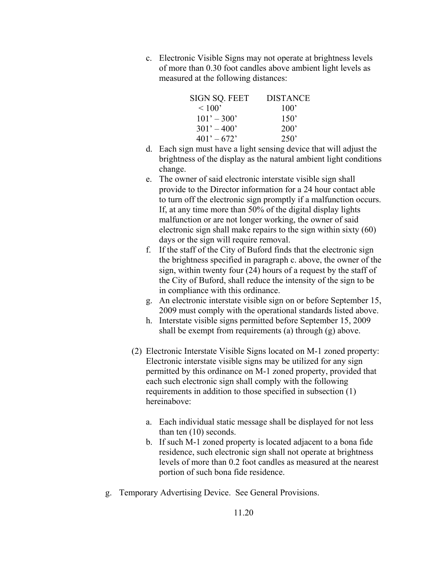c. Electronic Visible Signs may not operate at brightness levels of more than 0.30 foot candles above ambient light levels as measured at the following distances:

| SIGN SO. FEET | <b>DISTANCE</b> |
|---------------|-----------------|
| ~100          | $100^{\circ}$   |
| $101' - 300'$ | $150^{\circ}$   |
| $301' - 400'$ | 200'            |
| $401' - 672'$ | 250'            |

- d. Each sign must have a light sensing device that will adjust the brightness of the display as the natural ambient light conditions change.
- e. The owner of said electronic interstate visible sign shall provide to the Director information for a 24 hour contact able to turn off the electronic sign promptly if a malfunction occurs. If, at any time more than 50% of the digital display lights malfunction or are not longer working, the owner of said electronic sign shall make repairs to the sign within sixty (60) days or the sign will require removal.
- f. If the staff of the City of Buford finds that the electronic sign the brightness specified in paragraph c. above, the owner of the sign, within twenty four (24) hours of a request by the staff of the City of Buford, shall reduce the intensity of the sign to be in compliance with this ordinance.
- g. An electronic interstate visible sign on or before September 15, 2009 must comply with the operational standards listed above.
- h. Interstate visible signs permitted before September 15, 2009 shall be exempt from requirements (a) through (g) above.
- (2) Electronic Interstate Visible Signs located on M-1 zoned property: Electronic interstate visible signs may be utilized for any sign permitted by this ordinance on M-1 zoned property, provided that each such electronic sign shall comply with the following requirements in addition to those specified in subsection (1) hereinabove:
	- a. Each individual static message shall be displayed for not less than ten (10) seconds.
	- b. If such M-1 zoned property is located adjacent to a bona fide residence, such electronic sign shall not operate at brightness levels of more than 0.2 foot candles as measured at the nearest portion of such bona fide residence.
- g. Temporary Advertising Device. See General Provisions.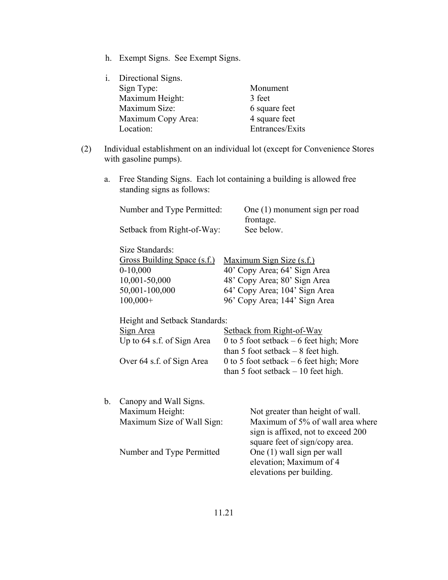h. Exempt Signs. See Exempt Signs.

| Directional Signs. |                 |
|--------------------|-----------------|
| Sign Type:         | Monument        |
| Maximum Height:    | 3 feet          |
| Maximum Size:      | 6 square feet   |
| Maximum Copy Area: | 4 square feet   |
| Location:          | Entrances/Exits |
|                    |                 |

- (2) Individual establishment on an individual lot (except for Convenience Stores with gasoline pumps).
	- a. Free Standing Signs. Each lot containing a building is allowed free standing signs as follows:

|    | Number and Type Permitted:<br>Setback from Right-of-Way:                                                             | One (1) monument sign per road<br>frontage.<br>See below.                                                                                                                                                                         |
|----|----------------------------------------------------------------------------------------------------------------------|-----------------------------------------------------------------------------------------------------------------------------------------------------------------------------------------------------------------------------------|
|    | Size Standards:<br><b>Gross Building Space (s.f.)</b><br>$0-10,000$<br>10,001-50,000<br>50,001-100,000<br>$100,000+$ | <u>Maximum Sign Size (s.f.)</u><br>40' Copy Area; 64' Sign Area<br>48' Copy Area; 80' Sign Area<br>64' Copy Area; 104' Sign Area<br>96' Copy Area; 144' Sign Area                                                                 |
|    | Height and Setback Standards:<br>Sign Area<br>Up to 64 s.f. of Sign Area<br>Over 64 s.f. of Sign Area                | Setback from Right-of-Way<br>0 to 5 foot setback $-6$ feet high; More<br>than 5 foot setback $-8$ feet high.<br>0 to 5 foot setback $-6$ feet high; More<br>than 5 foot setback $-10$ feet high.                                  |
| b. | Canopy and Wall Signs.<br>Maximum Height:<br>Maximum Size of Wall Sign:<br>Number and Type Permitted                 | Not greater than height of wall.<br>Maximum of 5% of wall area where<br>sign is affixed, not to exceed 200<br>square feet of sign/copy area.<br>One (1) wall sign per wall<br>elevation; Maximum of 4<br>elevations per building. |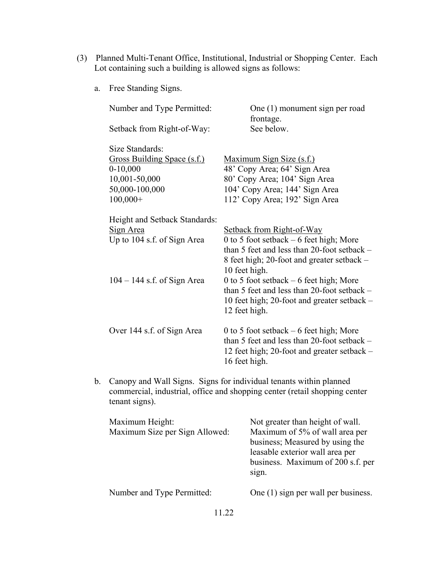- (3) Planned Multi-Tenant Office, Institutional, Industrial or Shopping Center. Each Lot containing such a building is allowed signs as follows:
	- a. Free Standing Signs.

| Number and Type Permitted:    | One (1) monument sign per road<br>frontage.                 |
|-------------------------------|-------------------------------------------------------------|
| Setback from Right-of-Way:    | See below.                                                  |
| Size Standards:               |                                                             |
| Gross Building Space (s.f.)   | <u>Maximum Sign Size (s.f.)</u>                             |
| $0-10,000$                    | 48' Copy Area; 64' Sign Area                                |
| 10,001-50,000                 | 80' Copy Area; 104' Sign Area                               |
| 50,000-100,000                | 104' Copy Area; 144' Sign Area                              |
| $100,000+$                    | 112' Copy Area; 192' Sign Area                              |
| Height and Setback Standards: |                                                             |
| Sign Area                     | Setback from Right-of-Way                                   |
| Up to 104 s.f. of Sign Area   | 0 to 5 foot setback $-6$ feet high; More                    |
|                               | than 5 feet and less than 20-foot setback $-$               |
|                               | 8 feet high; 20-foot and greater setback –<br>10 feet high. |
| $104 - 144$ s.f. of Sign Area | 0 to 5 foot setback $-6$ feet high; More                    |
|                               | than 5 feet and less than 20-foot setback $-$               |
|                               | 10 feet high; 20-foot and greater setback –                 |
|                               | 12 feet high.                                               |
|                               |                                                             |
| Over 144 s.f. of Sign Area    | 0 to 5 foot setback $-6$ feet high; More                    |
|                               | than 5 feet and less than 20-foot setback $-$               |
|                               | 12 feet high; 20-foot and greater setback –                 |
|                               | 16 feet high.                                               |
|                               |                                                             |

b. Canopy and Wall Signs. Signs for individual tenants within planned commercial, industrial, office and shopping center (retail shopping center tenant signs).

| Maximum Height:<br>Maximum Size per Sign Allowed: | Not greater than height of wall.<br>Maximum of 5% of wall area per<br>business; Measured by using the<br>leasable exterior wall area per<br>business. Maximum of 200 s.f. per<br>sign. |
|---------------------------------------------------|----------------------------------------------------------------------------------------------------------------------------------------------------------------------------------------|
| Number and Type Permitted:                        | One (1) sign per wall per business.                                                                                                                                                    |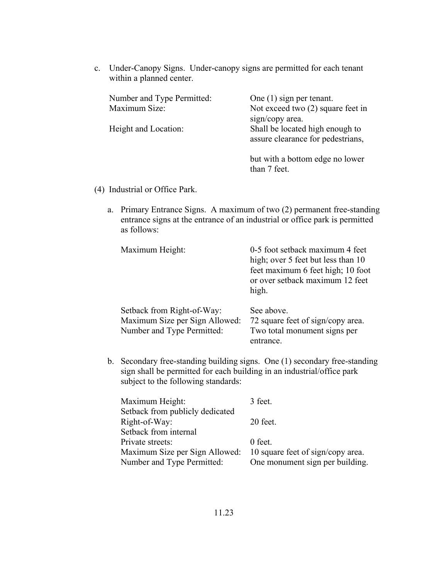c. Under-Canopy Signs. Under-canopy signs are permitted for each tenant within a planned center.

| Number and Type Permitted: | One $(1)$ sign per tenant.          |
|----------------------------|-------------------------------------|
| Maximum Size:              | Not exceed two $(2)$ square feet in |
|                            | sign/copy area.                     |
| Height and Location:       | Shall be located high enough to     |
|                            | assure clearance for pedestrians,   |
|                            | but with a bottom edge no lower     |

- (4) Industrial or Office Park.
	- a. Primary Entrance Signs. A maximum of two (2) permanent free-standing entrance signs at the entrance of an industrial or office park is permitted as follows:

than 7 feet.

| Maximum Height:                                                                            | 0-5 foot setback maximum 4 feet<br>high; over 5 feet but less than 10<br>feet maximum 6 feet high; 10 foot<br>or over setback maximum 12 feet<br>high. |
|--------------------------------------------------------------------------------------------|--------------------------------------------------------------------------------------------------------------------------------------------------------|
| Setback from Right-of-Way:<br>Maximum Size per Sign Allowed:<br>Number and Type Permitted: | See above.<br>72 square feet of sign/copy area.<br>Two total monument signs per<br>entrance.                                                           |

b. Secondary free-standing building signs. One (1) secondary free-standing sign shall be permitted for each building in an industrial/office park subject to the following standards:

| Maximum Height:                 | 3 feet.                           |
|---------------------------------|-----------------------------------|
| Setback from publicly dedicated |                                   |
| Right-of-Way:                   | 20 feet.                          |
| Setback from internal           |                                   |
| Private streets:                | 0 feet.                           |
| Maximum Size per Sign Allowed:  | 10 square feet of sign/copy area. |
| Number and Type Permitted:      | One monument sign per building.   |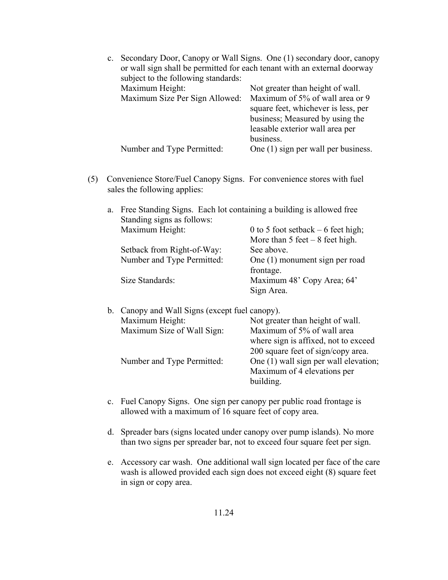|  | c. Secondary Door, Canopy or Wall Signs. One (1) secondary door, canopy<br>or wall sign shall be permitted for each tenant with an external doorway<br>subject to the following standards: |                                                                                                                                                           |  |
|--|--------------------------------------------------------------------------------------------------------------------------------------------------------------------------------------------|-----------------------------------------------------------------------------------------------------------------------------------------------------------|--|
|  |                                                                                                                                                                                            |                                                                                                                                                           |  |
|  | Maximum Height:                                                                                                                                                                            | Not greater than height of wall.                                                                                                                          |  |
|  | Maximum Size Per Sign Allowed:                                                                                                                                                             | Maximum of 5% of wall area or 9<br>square feet, whichever is less, per<br>business; Measured by using the<br>leasable exterior wall area per<br>business. |  |
|  | Number and Type Permitted:                                                                                                                                                                 | One (1) sign per wall per business.                                                                                                                       |  |

 (5) Convenience Store/Fuel Canopy Signs. For convenience stores with fuel sales the following applies:

| a. | Free Standing Signs. Each lot containing a building is allowed free |                                     |
|----|---------------------------------------------------------------------|-------------------------------------|
|    | Standing signs as follows:                                          |                                     |
|    | Maximum Height:                                                     | 0 to 5 foot setback $-6$ feet high; |
|    |                                                                     | More than $5$ feet $-8$ feet high.  |
|    | Setback from Right-of-Way:                                          | See above.                          |
|    | Number and Type Permitted:                                          | One (1) monument sign per road      |
|    |                                                                     | frontage.                           |
|    | Size Standards:                                                     | Maximum 48' Copy Area; 64'          |
|    |                                                                     | Sign Area.                          |
|    |                                                                     |                                     |

| b. Canopy and Wall Signs (except fuel canopy). |                            |                                       |
|------------------------------------------------|----------------------------|---------------------------------------|
|                                                | Maximum Height:            | Not greater than height of wall.      |
|                                                | Maximum Size of Wall Sign: | Maximum of 5% of wall area            |
|                                                |                            | where sign is affixed, not to exceed  |
|                                                |                            | 200 square feet of sign/copy area.    |
|                                                | Number and Type Permitted: | One (1) wall sign per wall elevation; |
|                                                |                            | Maximum of 4 elevations per           |
|                                                |                            | building.                             |
|                                                |                            |                                       |

- c. Fuel Canopy Signs. One sign per canopy per public road frontage is allowed with a maximum of 16 square feet of copy area.
- d. Spreader bars (signs located under canopy over pump islands). No more than two signs per spreader bar, not to exceed four square feet per sign.
- e. Accessory car wash. One additional wall sign located per face of the care wash is allowed provided each sign does not exceed eight (8) square feet in sign or copy area.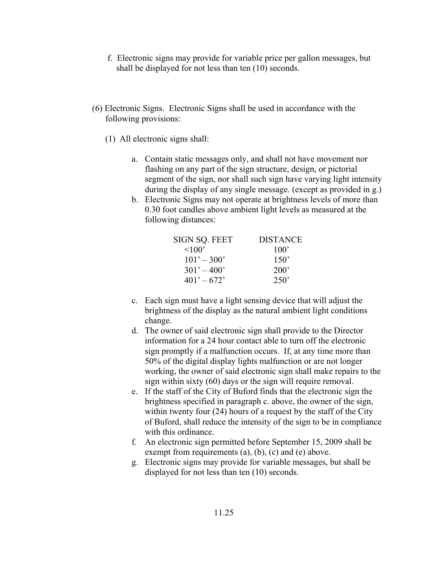- f. Electronic signs may provide for variable price per gallon messages, but shall be displayed for not less than ten (10) seconds.
- (6) Electronic Signs. Electronic Signs shall be used in accordance with the following provisions:
	- (1) All electronic signs shall:
		- a. Contain static messages only, and shall not have movement nor flashing on any part of the sign structure, design, or pictorial segment of the sign, nor shall such sign have varying light intensity during the display of any single message. (except as provided in g.)
		- b. Electronic Signs may not operate at brightness levels of more than 0.30 foot candles above ambient light levels as measured at the following distances:

| SIGN SQ. FEET | <b>DISTANCE</b> |
|---------------|-----------------|
| $\leq 100$    | 100'            |
| $101' - 300'$ | $150^{\circ}$   |
| $301' - 400'$ | 200'            |
| $401' - 672'$ | 250'            |

- c. Each sign must have a light sensing device that will adjust the brightness of the display as the natural ambient light conditions change.
- d. The owner of said electronic sign shall provide to the Director information for a 24 hour contact able to turn off the electronic sign promptly if a malfunction occurs. If, at any time more than 50% of the digital display lights malfunction or are not longer working, the owner of said electronic sign shall make repairs to the sign within sixty (60) days or the sign will require removal.
- e. If the staff of the City of Buford finds that the electronic sign the brightness specified in paragraph c. above, the owner of the sign, within twenty four (24) hours of a request by the staff of the City of Buford, shall reduce the intensity of the sign to be in compliance with this ordinance.
- f. An electronic sign permitted before September 15, 2009 shall be exempt from requirements  $(a)$ ,  $(b)$ ,  $(c)$  and  $(e)$  above.
- g. Electronic signs may provide for variable messages, but shall be displayed for not less than ten (10) seconds.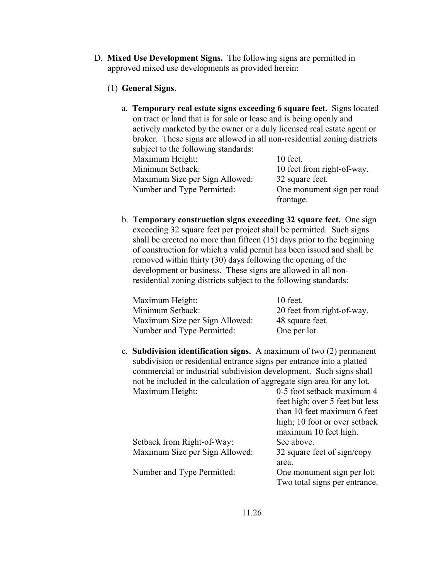- D. **Mixed Use Development Signs.** The following signs are permitted in approved mixed use developments as provided herein:
	- (1) **General Signs**.
		- a. **Temporary real estate signs exceeding 6 square feet.** Signs located on tract or land that is for sale or lease and is being openly and actively marketed by the owner or a duly licensed real estate agent or broker. These signs are allowed in all non-residential zoning districts subject to the following standards: Maximum Height: 10 feet. Minimum Setback: 10 feet from right-of-way. Maximum Size per Sign Allowed: 32 square feet. Number and Type Permitted: One monument sign per road frontage.
		- b. **Temporary construction signs exceeding 32 square feet.** One sign exceeding 32 square feet per project shall be permitted. Such signs shall be erected no more than fifteen (15) days prior to the beginning of construction for which a valid permit has been issued and shall be removed within thirty (30) days following the opening of the development or business. These signs are allowed in all non residential zoning districts subject to the following standards:

| Maximum Height:                | $10$ feet.                 |
|--------------------------------|----------------------------|
| Minimum Setback:               | 20 feet from right-of-way. |
| Maximum Size per Sign Allowed: | 48 square feet.            |
| Number and Type Permitted:     | One per lot.               |

c. **Subdivision identification signs.** A maximum of two (2) permanent subdivision or residential entrance signs per entrance into a platted commercial or industrial subdivision development. Such signs shall not be included in the calculation of aggregate sign area for any lot. Maximum Height: 0-5 foot setback maximum 4

|                                | $\frac{1}{2}$                 |
|--------------------------------|-------------------------------|
|                                | than 10 feet maximum 6 feet   |
|                                | high; 10 foot or over setback |
|                                | maximum 10 feet high.         |
| Setback from Right-of-Way:     | See above.                    |
| Maximum Size per Sign Allowed: | 32 square feet of sign/copy   |
|                                | area.                         |
| Number and Type Permitted:     | One monument sign per lot;    |
|                                | Two total signs per entrance. |
|                                |                               |

feet high; over 5 feet but less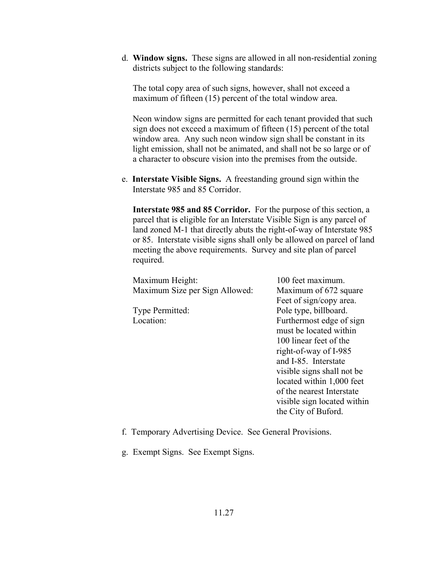d. **Window signs.** These signs are allowed in all non-residential zoning districts subject to the following standards:

 The total copy area of such signs, however, shall not exceed a maximum of fifteen (15) percent of the total window area.

 Neon window signs are permitted for each tenant provided that such sign does not exceed a maximum of fifteen (15) percent of the total window area. Any such neon window sign shall be constant in its light emission, shall not be animated, and shall not be so large or of a character to obscure vision into the premises from the outside.

e. **Interstate Visible Signs.** A freestanding ground sign within the Interstate 985 and 85 Corridor.

 **Interstate 985 and 85 Corridor.** For the purpose of this section, a parcel that is eligible for an Interstate Visible Sign is any parcel of land zoned M-1 that directly abuts the right-of-way of Interstate 985 or 85. Interstate visible signs shall only be allowed on parcel of land meeting the above requirements. Survey and site plan of parcel required.

| Maximum Height:                | 100 feet maximum.           |
|--------------------------------|-----------------------------|
| Maximum Size per Sign Allowed: | Maximum of 672 square       |
|                                | Feet of sign/copy area.     |
| Type Permitted:                | Pole type, billboard.       |
| Location:                      | Furthermost edge of sign    |
|                                | must be located within      |
|                                | 100 linear feet of the      |
|                                | right-of-way of I-985       |
|                                | and I-85. Interstate        |
|                                | visible signs shall not be  |
|                                | located within 1,000 feet   |
|                                | of the nearest Interstate   |
|                                | visible sign located within |
|                                | the City of Buford.         |

f. Temporary Advertising Device. See General Provisions.

g. Exempt Signs. See Exempt Signs.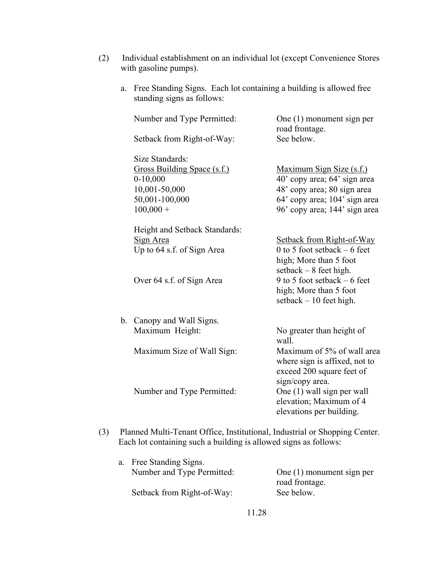- (2) Individual establishment on an individual lot (except Convenience Stores with gasoline pumps).
	- a. Free Standing Signs. Each lot containing a building is allowed free standing signs as follows:

|     | Number and Type Permitted:<br>Setback from Right-of-Way:                                                                                       | One (1) monument sign per<br>road frontage.<br>See below.                                                                                                                                              |
|-----|------------------------------------------------------------------------------------------------------------------------------------------------|--------------------------------------------------------------------------------------------------------------------------------------------------------------------------------------------------------|
|     | Size Standards:<br>Gross Building Space (s.f.)<br>$0-10,000$<br>10,001-50,000<br>50,001-100,000<br>$100,000 +$                                 | Maximum Sign Size (s.f.)<br>40' copy area; 64' sign area<br>48' copy area; 80 sign area<br>64' copy area; 104' sign area<br>96' copy area; 144' sign area                                              |
|     | Height and Setback Standards:<br>Sign Area<br>Up to 64 s.f. of Sign Area<br>Over 64 s.f. of Sign Area                                          | Setback from Right-of-Way<br>0 to 5 foot setback $-6$ feet<br>high; More than 5 foot<br>setback $-8$ feet high.<br>9 to 5 foot setback $-6$ feet<br>high; More than 5 foot<br>setback $-10$ feet high. |
|     | b. Canopy and Wall Signs.<br>Maximum Height:<br>Maximum Size of Wall Sign:                                                                     | No greater than height of<br>wall.<br>Maximum of 5% of wall area                                                                                                                                       |
|     | Number and Type Permitted:                                                                                                                     | where sign is affixed, not to<br>exceed 200 square feet of<br>sign/copy area.<br>One (1) wall sign per wall<br>elevation; Maximum of 4<br>elevations per building.                                     |
| (3) | Planned Multi-Tenant Office, Institutional, Industrial or Shopping Center.<br>Each lot containing such a building is allowed signs as follows: |                                                                                                                                                                                                        |

| a. Free Standing Signs.    |                             |
|----------------------------|-----------------------------|
| Number and Type Permitted: | One $(1)$ monument sign per |
|                            | road frontage.              |
| Setback from Right-of-Way: | See below.                  |
|                            |                             |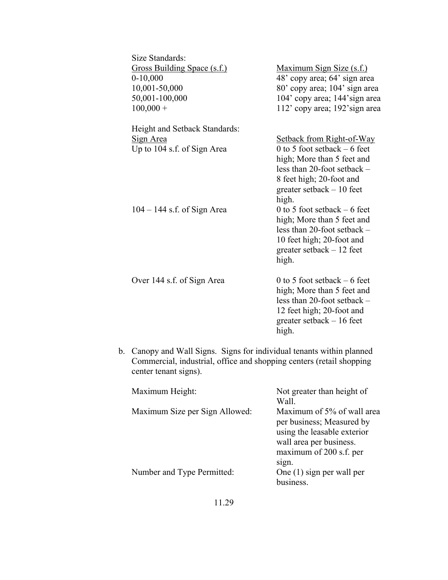| Size Standards:               |                                  |
|-------------------------------|----------------------------------|
| Gross Building Space (s.f.)   | <u>Maximum Sign Size (s.f.)</u>  |
| $0-10,000$                    | 48' copy area; 64' sign area     |
| 10,001-50,000                 | 80' copy area; 104' sign area    |
| 50,001-100,000                | 104' copy area; 144' sign area   |
| $100,000 +$                   | 112' copy area; 192' sign area   |
| Height and Setback Standards: |                                  |
| Sign Area                     | <b>Setback from Right-of-Way</b> |
| Up to 104 s.f. of Sign Area   | 0 to 5 foot setback $-6$ feet    |
|                               | high; More than 5 feet and       |
|                               | less than 20-foot setback $-$    |
|                               | 8 feet high; 20-foot and         |
|                               | greater setback $-10$ feet       |
|                               | high.                            |
| $104 - 144$ s.f. of Sign Area | 0 to 5 foot setback $-6$ feet    |
|                               | high; More than 5 feet and       |
|                               | less than 20-foot setback $-$    |
|                               | 10 feet high; 20-foot and        |
|                               | greater setback $-12$ feet       |
|                               | high.                            |
| Over 144 s.f. of Sign Area    | 0 to 5 foot setback $-6$ feet    |
|                               | high; More than 5 feet and       |
|                               | less than 20-foot setback $-$    |
|                               | 12 feet high; 20-foot and        |
|                               | greater setback $-16$ feet       |
|                               | high.                            |

b. Canopy and Wall Signs. Signs for individual tenants within planned Commercial, industrial, office and shopping centers (retail shopping center tenant signs).

| Maximum Height:                | Not greater than height of<br>Wall.                                                                               |
|--------------------------------|-------------------------------------------------------------------------------------------------------------------|
| Maximum Size per Sign Allowed: | Maximum of 5% of wall area<br>per business; Measured by<br>using the leasable exterior<br>wall area per business. |
| Number and Type Permitted:     | maximum of 200 s.f. per<br>sign.<br>One $(1)$ sign per wall per<br>business.                                      |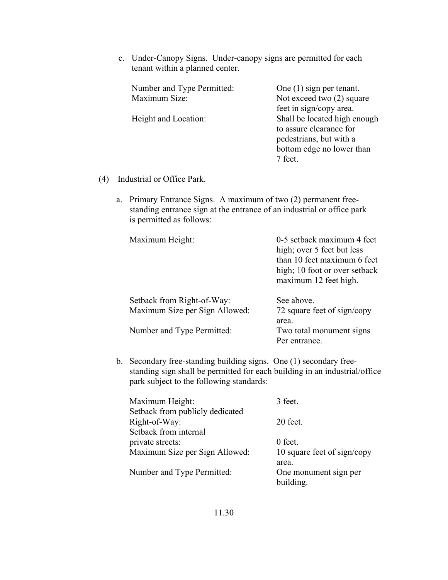c. Under-Canopy Signs. Under-canopy signs are permitted for each tenant within a planned center.

| Number and Type Permitted: | One $(1)$ sign per tenant.   |
|----------------------------|------------------------------|
| Maximum Size:              | Not exceed two (2) square    |
|                            | feet in sign/copy area.      |
| Height and Location:       | Shall be located high enough |
|                            | to assure clearance for      |
|                            | pedestrians, but with a      |
|                            | bottom edge no lower than    |
|                            | 7 feet.                      |

- (4) Industrial or Office Park.
	- a. Primary Entrance Signs. A maximum of two (2) permanent freestanding entrance sign at the entrance of an industrial or office park is permitted as follows:

| Maximum Height:                | 0-5 setback maximum 4 feet<br>high; over 5 feet but less<br>than 10 feet maximum 6 feet<br>high; 10 foot or over setback<br>maximum 12 feet high. |
|--------------------------------|---------------------------------------------------------------------------------------------------------------------------------------------------|
| Setback from Right-of-Way:     | See above.                                                                                                                                        |
| Maximum Size per Sign Allowed: | 72 square feet of sign/copy                                                                                                                       |
|                                | area.                                                                                                                                             |
| Number and Type Permitted:     | Two total monument signs                                                                                                                          |
|                                | Per entrance.                                                                                                                                     |

b. Secondary free-standing building signs. One (1) secondary freestanding sign shall be permitted for each building in an industrial/office park subject to the following standards:

| Maximum Height:                 | 3 feet.                     |
|---------------------------------|-----------------------------|
| Setback from publicly dedicated |                             |
| Right-of-Way:                   | 20 feet.                    |
| Setback from internal           |                             |
| private streets:                | 0 feet.                     |
| Maximum Size per Sign Allowed:  | 10 square feet of sign/copy |
|                                 | area.                       |
| Number and Type Permitted:      | One monument sign per       |
|                                 | building.                   |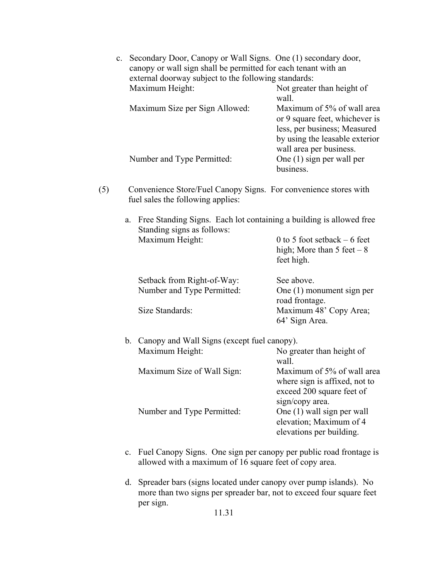|                                                                                                                        |  | c. Secondary Door, Canopy or Wall Signs. One (1) secondary door,                                      |                                                                                                                                                           |
|------------------------------------------------------------------------------------------------------------------------|--|-------------------------------------------------------------------------------------------------------|-----------------------------------------------------------------------------------------------------------------------------------------------------------|
| canopy or wall sign shall be permitted for each tenant with an<br>external doorway subject to the following standards: |  |                                                                                                       |                                                                                                                                                           |
|                                                                                                                        |  |                                                                                                       |                                                                                                                                                           |
|                                                                                                                        |  | Maximum Height:                                                                                       | Not greater than height of<br>wall.                                                                                                                       |
|                                                                                                                        |  | Maximum Size per Sign Allowed:                                                                        | Maximum of 5% of wall area<br>or 9 square feet, whichever is<br>less, per business; Measured<br>by using the leasable exterior<br>wall area per business. |
|                                                                                                                        |  | Number and Type Permitted:                                                                            | One (1) sign per wall per<br>business.                                                                                                                    |
| (5)                                                                                                                    |  | Convenience Store/Fuel Canopy Signs. For convenience stores with<br>fuel sales the following applies: |                                                                                                                                                           |
|                                                                                                                        |  | a. Free Standing Signs. Each lot containing a building is allowed free<br>Standing signs as follows:  |                                                                                                                                                           |
|                                                                                                                        |  | Maximum Height:                                                                                       | 0 to 5 foot setback $-6$ feet<br>high; More than $5$ feet $-8$<br>feet high.                                                                              |
|                                                                                                                        |  | Setback from Right-of-Way:                                                                            | See above.                                                                                                                                                |
|                                                                                                                        |  | Number and Type Permitted:                                                                            | One (1) monument sign per                                                                                                                                 |
|                                                                                                                        |  |                                                                                                       | road frontage.                                                                                                                                            |
|                                                                                                                        |  | Size Standards:                                                                                       | Maximum 48' Copy Area;<br>64' Sign Area.                                                                                                                  |
|                                                                                                                        |  | b. Canopy and Wall Signs (except fuel canopy).                                                        |                                                                                                                                                           |
|                                                                                                                        |  | Maximum Height:                                                                                       | No greater than height of<br>wall.                                                                                                                        |
|                                                                                                                        |  | Maximum Size of Wall Sign:                                                                            | Maximum of 5% of wall area<br>where sign is affixed, not to<br>exceed 200 square feet of<br>sign/copy area.                                               |
|                                                                                                                        |  | Number and Type Permitted:                                                                            | One (1) wall sign per wall<br>elevation; Maximum of 4<br>elevations per building.                                                                         |

- c. Fuel Canopy Signs. One sign per canopy per public road frontage is allowed with a maximum of 16 square feet of copy area.
- d. Spreader bars (signs located under canopy over pump islands). No more than two signs per spreader bar, not to exceed four square feet per sign.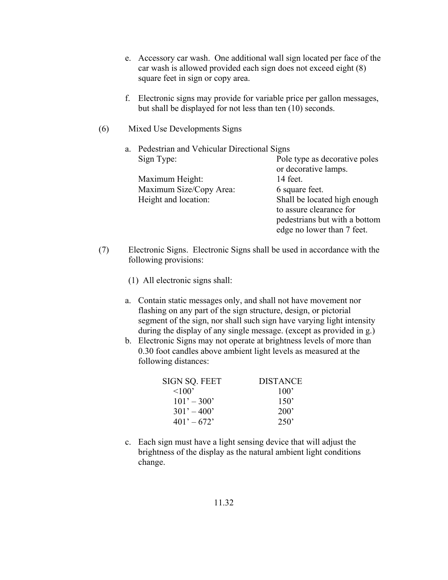- e. Accessory car wash. One additional wall sign located per face of the car wash is allowed provided each sign does not exceed eight (8) square feet in sign or copy area.
- f. Electronic signs may provide for variable price per gallon messages, but shall be displayed for not less than ten (10) seconds.
- (6) Mixed Use Developments Signs

| a. | Pedestrian and Vehicular Directional Signs |                                                                                                                        |
|----|--------------------------------------------|------------------------------------------------------------------------------------------------------------------------|
|    | Sign Type:                                 | Pole type as decorative poles<br>or decorative lamps.                                                                  |
|    | Maximum Height:                            | 14 feet.                                                                                                               |
|    | Maximum Size/Copy Area:                    | 6 square feet.                                                                                                         |
|    | Height and location:                       | Shall be located high enough<br>to assure clearance for<br>pedestrians but with a bottom<br>edge no lower than 7 feet. |
|    |                                            |                                                                                                                        |

- (7) Electronic Signs. Electronic Signs shall be used in accordance with the following provisions:
	- (1) All electronic signs shall:
	- a. Contain static messages only, and shall not have movement nor flashing on any part of the sign structure, design, or pictorial segment of the sign, nor shall such sign have varying light intensity during the display of any single message. (except as provided in g.)
	- b. Electronic Signs may not operate at brightness levels of more than 0.30 foot candles above ambient light levels as measured at the following distances:

| SIGN SQ. FEET | <b>DISTANCE</b> |
|---------------|-----------------|
| $\leq 100$    | 100'            |
| $101' - 300'$ | 150'            |
| $301' - 400'$ | 200'            |
| $401' - 672'$ | 250'            |

c. Each sign must have a light sensing device that will adjust the brightness of the display as the natural ambient light conditions change.